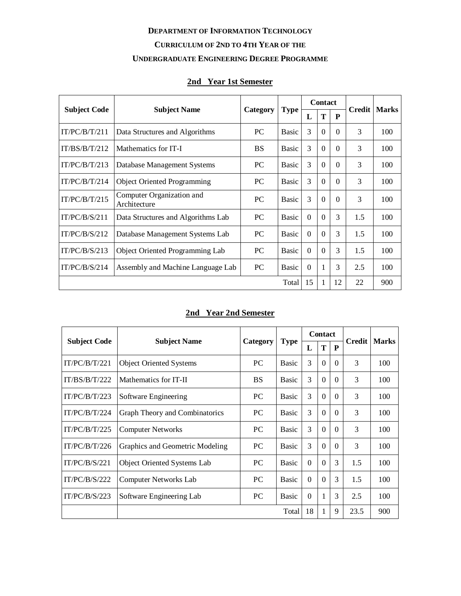# **DEPARTMENT OF INFORMATION TECHNOLOGY**

## **CURRICULUM OF 2ND TO 4TH YEAR OF THE**

### **UNDERGRADUATE ENGINEERING DEGREE PROGRAMME**

## **2nd Year 1st Semester**

| <b>Subject Code</b> |                                           |           |              |          | <b>Contact</b> |          | Credit | <b>Marks</b> |
|---------------------|-------------------------------------------|-----------|--------------|----------|----------------|----------|--------|--------------|
|                     | <b>Subject Name</b>                       | Category  | <b>Type</b>  | L        | T              | P        |        |              |
| IT/PC/B/T/211       | Data Structures and Algorithms            | <b>PC</b> | <b>Basic</b> | 3        | $\Omega$       | $\Omega$ | 3      | 100          |
| IT/BS/B/T/212       | Mathematics for IT-I                      | <b>BS</b> | <b>Basic</b> | 3        | $\Omega$       | $\Omega$ | 3      | 100          |
| IT/PC/B/T/213       | Database Management Systems               | PC        | <b>Basic</b> | 3        | $\Omega$       | 0        | 3      | 100          |
| IT/PC/B/T/214       | <b>Object Oriented Programming</b>        | <b>PC</b> | <b>Basic</b> | 3        | $\Omega$       | $\Omega$ | 3      | 100          |
| IT/PC/B/T/215       | Computer Organization and<br>Architecture | PC        | <b>Basic</b> | 3        | $\Omega$       | $\Omega$ | 3      | 100          |
| IT/PC/B/S/211       | Data Structures and Algorithms Lab        | <b>PC</b> | <b>Basic</b> | $\Omega$ | $\Omega$       | 3        | 1.5    | 100          |
| IT/PC/B/S/212       | Database Management Systems Lab           | <b>PC</b> | <b>Basic</b> | $\Omega$ | $\Omega$       | 3        | 1.5    | 100          |
| IT/PC/B/S/213       | <b>Object Oriented Programming Lab</b>    | PC        | <b>Basic</b> | $\theta$ | $\Omega$       | 3        | 1.5    | 100          |
| IT/PC/B/S/214       | Assembly and Machine Language Lab         | <b>PC</b> | <b>Basic</b> | $\theta$ | 1              | 3        | 2.5    | 100          |
|                     |                                           |           | Total        | 15       | 1              | 12       | 22     | 900          |

## **2nd Year 2nd Semester**

| <b>Subject Code</b> | <b>Subject Name</b>                |           |              |          | <b>Contact</b> |          | Credit | <b>Marks</b> |
|---------------------|------------------------------------|-----------|--------------|----------|----------------|----------|--------|--------------|
|                     |                                    | Category  | <b>Type</b>  | L        | T              | P        |        |              |
| IT/PC/B/T/221       | <b>Object Oriented Systems</b>     | PC        | <b>Basic</b> | 3        | $\Omega$       | $\Omega$ | 3      | 100          |
| IT/BS/B/T/222       | Mathematics for IT-II              | <b>BS</b> | <b>Basic</b> | 3        | $\Omega$       | $\Omega$ | 3      | 100          |
| IT/PC/B/T/223       | Software Engineering               | <b>PC</b> | <b>Basic</b> | 3        | $\Omega$       | 0        | 3      | 100          |
| IT/PC/B/T/224       | Graph Theory and Combinatorics     | PC.       | <b>Basic</b> | 3        | $\Omega$       | $\Omega$ | 3      | 100          |
| IT/PC/B/T/225       | <b>Computer Networks</b>           | PC.       | <b>Basic</b> | 3        | $\Omega$       | $\Omega$ | 3      | 100          |
| IT/PC/B/T/226       | Graphics and Geometric Modeling    | PC.       | <b>Basic</b> | 3        | $\Omega$       | $\Omega$ | 3      | 100          |
| IT/PC/B/S/221       | <b>Object Oriented Systems Lab</b> | PC.       | <b>Basic</b> | $\Omega$ | $\Omega$       | 3        | 1.5    | 100          |
| IT/PC/B/S/222       | <b>Computer Networks Lab</b>       | <b>PC</b> | <b>Basic</b> | $\Omega$ | $\Omega$       | 3        | 1.5    | 100          |
| IT/PC/B/S/223       | Software Engineering Lab           | PC        | <b>Basic</b> | $\theta$ | 1              | 3        | 2.5    | 100          |
|                     | Total<br>18<br>1<br>9              |           |              |          |                |          | 23.5   | 900          |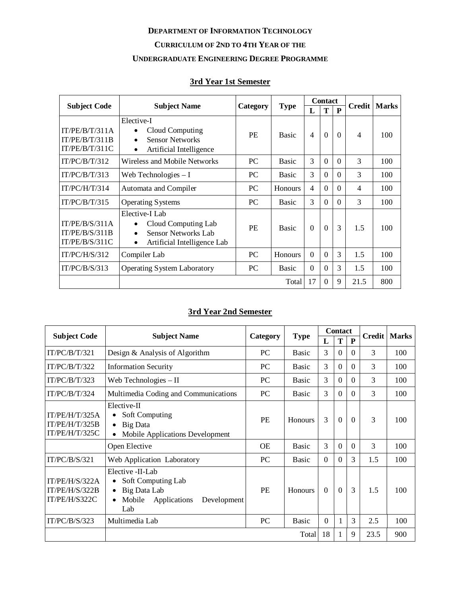#### **DEPARTMENT OF INFORMATION TECHNOLOGY**

### **CURRICULUM OF 2ND TO 4TH YEAR OF THE**

#### **UNDERGRADUATE ENGINEERING DEGREE PROGRAMME**

# **3rd Year 1st Semester**

| <b>Subject Code</b>                                | <b>Subject Name</b>                                                                                                                       |           |                | <b>Contact</b> |                |              | <b>Credit</b>  | <b>Marks</b> |
|----------------------------------------------------|-------------------------------------------------------------------------------------------------------------------------------------------|-----------|----------------|----------------|----------------|--------------|----------------|--------------|
|                                                    |                                                                                                                                           | Category  | <b>Type</b>    | L              | T              | $\mathbf{P}$ |                |              |
| IT/PE/B/T/311A<br>IT/PE/B/T/311B<br>IT/PE/B/T/311C | Elective-I<br>Cloud Computing<br>$\bullet$<br><b>Sensor Networks</b><br>$\bullet$<br>Artificial Intelligence<br>$\bullet$                 | PF.       | <b>Basic</b>   | $\overline{4}$ | $\Omega$       | $\Omega$     | $\overline{4}$ | 100          |
| IT/PC/B/T/312                                      | Wireless and Mobile Networks                                                                                                              | PC        | <b>Basic</b>   | 3              | $\theta$       | $\Omega$     | 3              | 100          |
| IT/PC/B/T/313                                      | Web Technologies $-I$                                                                                                                     | PC.       | <b>Basic</b>   | 3              | $\Omega$       | $\Omega$     | 3              | 100          |
| IT/PC/H/T/314                                      | Automata and Compiler                                                                                                                     | <b>PC</b> | Honours        | $\overline{4}$ | $\Omega$       | $\Omega$     | $\overline{4}$ | 100          |
| IT/PC/B/T/315                                      | <b>Operating Systems</b>                                                                                                                  | PC.       | <b>Basic</b>   | 3              | $\overline{0}$ | $\theta$     | 3              | 100          |
| IT/PE/B/S/311A<br>IT/PE/B/S/311B<br>IT/PE/B/S/311C | Elective-I Lab<br>Cloud Computing Lab<br>$\bullet$<br><b>Sensor Networks Lab</b><br>$\bullet$<br>Artificial Intelligence Lab<br>$\bullet$ | <b>PE</b> | <b>Basic</b>   | $\Omega$       | $\Omega$       | 3            | 1.5            | 100          |
| IT/PC/H/S/312                                      | Compiler Lab                                                                                                                              | <b>PC</b> | <b>Honours</b> | $\Omega$       | $\Omega$       | 3            | 1.5            | 100          |
| IT/PC/B/S/313                                      | <b>Operating System Laboratory</b>                                                                                                        | <b>PC</b> | <b>Basic</b>   | $\Omega$       | $\Omega$       | 3            | 1.5            | 100          |
|                                                    |                                                                                                                                           |           | Total          | 17             | $\Omega$       | 9            | 21.5           | 800          |

## **3rd Year 2nd Semester**

|                                                    |                                                                                                                      |           |                |          | <b>Contact</b> |                |               | <b>Marks</b> |
|----------------------------------------------------|----------------------------------------------------------------------------------------------------------------------|-----------|----------------|----------|----------------|----------------|---------------|--------------|
| <b>Subject Code</b>                                | <b>Subject Name</b>                                                                                                  | Category  | <b>Type</b>    | L        | T              | P              | <b>Credit</b> |              |
| IT/PC/B/T/321                                      | Design & Analysis of Algorithm                                                                                       | PC        | <b>Basic</b>   | 3        | $\Omega$       | $\theta$       | 3             | 100          |
| IT/PC/B/T/322                                      | <b>Information Security</b>                                                                                          | <b>PC</b> | <b>Basic</b>   | 3        | $\theta$       | $\theta$       | 3             | 100          |
| IT/PC/B/T/323                                      | Web Technologies $-II$                                                                                               | <b>PC</b> | <b>Basic</b>   | 3        | $\Omega$       | 0              | 3             | 100          |
| IT/PC/B/T/324                                      | Multimedia Coding and Communications                                                                                 | <b>PC</b> | <b>Basic</b>   | 3        | $\Omega$       | $\Omega$       | 3             | 100          |
| IT/PE/H/T/325A<br>IT/PE/H/T/325B<br>IT/PE/H/T/325C | Elective-II<br><b>Soft Computing</b><br>Big Data<br>$\bullet$<br>Mobile Applications Development                     | <b>PE</b> | <b>Honours</b> | 3        | $\overline{0}$ | $\mathbf{0}$   | 3             | 100          |
|                                                    | Open Elective                                                                                                        | <b>OE</b> | <b>Basic</b>   | 3        | $\Omega$       | $\Omega$       | 3             | 100          |
| IT/PC/B/S/321                                      | Web Application Laboratory                                                                                           | <b>PC</b> | <b>Basic</b>   | $\theta$ | $\Omega$       | 3              | 1.5           | 100          |
| IT/PE/H/S/322A<br>IT/PE/H/S/322B<br>IT/PE/H/S322C  | Elective - II-Lab<br>Soft Computing Lab<br>Big Data Lab<br>$\bullet$<br>Mobile<br>Applications<br>Development<br>Lab | <b>PE</b> | <b>Honours</b> | $\Omega$ | $\Omega$       | $\overline{3}$ | 1.5           | 100          |
| IT/PC/B/S/323                                      | Multimedia Lab                                                                                                       | <b>PC</b> | <b>Basic</b>   | $\theta$ | 1              | 3              | 2.5           | 100          |
|                                                    |                                                                                                                      |           | Total          | 18       | 1              | 9              | 23.5          | 900          |